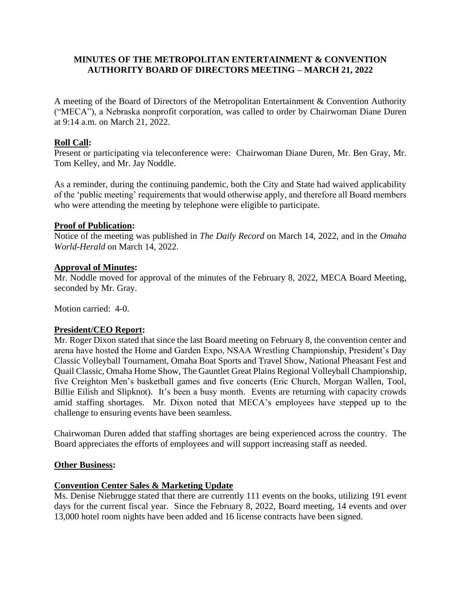## **MINUTES OF THE METROPOLITAN ENTERTAINMENT & CONVENTION AUTHORITY BOARD OF DIRECTORS MEETING – MARCH 21, 2022**

A meeting of the Board of Directors of the Metropolitan Entertainment & Convention Authority ("MECA"), a Nebraska nonprofit corporation, was called to order by Chairwoman Diane Duren at 9:14 a.m. on March 21, 2022.

# **Roll Call:**

Present or participating via teleconference were: Chairwoman Diane Duren, Mr. Ben Gray, Mr. Tom Kelley, and Mr. Jay Noddle.

As a reminder, during the continuing pandemic, both the City and State had waived applicability of the 'public meeting' requirements that would otherwise apply, and therefore all Board members who were attending the meeting by telephone were eligible to participate.

### **Proof of Publication:**

Notice of the meeting was published in *The Daily Record* on March 14, 2022, and in the *Omaha World-Herald* on March 14, 2022.

### **Approval of Minutes:**

Mr. Noddle moved for approval of the minutes of the February 8, 2022, MECA Board Meeting, seconded by Mr. Gray.

Motion carried: 4-0.

### **President/CEO Report:**

Mr. Roger Dixon stated that since the last Board meeting on February 8, the convention center and arena have hosted the Home and Garden Expo, NSAA Wrestling Championship, President's Day Classic Volleyball Tournament, Omaha Boat Sports and Travel Show, National Pheasant Fest and Quail Classic, Omaha Home Show, The Gauntlet Great Plains Regional Volleyball Championship, five Creighton Men's basketball games and five concerts (Eric Church, Morgan Wallen, Tool, Billie Eilish and Slipknot). It's been a busy month. Events are returning with capacity crowds amid staffing shortages. Mr. Dixon noted that MECA's employees have stepped up to the challenge to ensuring events have been seamless.

Chairwoman Duren added that staffing shortages are being experienced across the country. The Board appreciates the efforts of employees and will support increasing staff as needed.

### **Other Business:**

## **Convention Center Sales & Marketing Update**

Ms. Denise Niebrugge stated that there are currently 111 events on the books, utilizing 191 event days for the current fiscal year. Since the February 8, 2022, Board meeting, 14 events and over 13,000 hotel room nights have been added and 16 license contracts have been signed.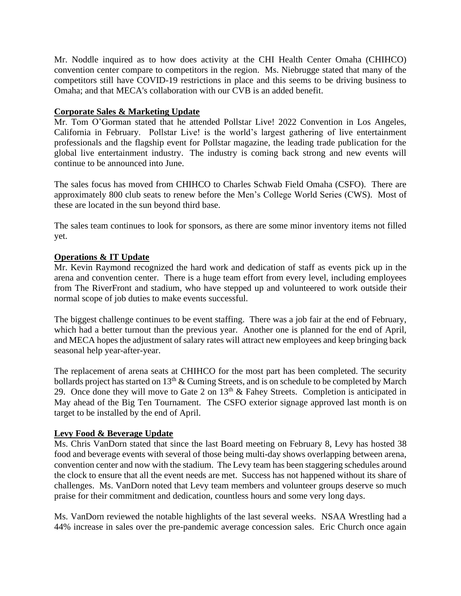Mr. Noddle inquired as to how does activity at the CHI Health Center Omaha (CHIHCO) convention center compare to competitors in the region. Ms. Niebrugge stated that many of the competitors still have COVID-19 restrictions in place and this seems to be driving business to Omaha; and that MECA's collaboration with our CVB is an added benefit.

### **Corporate Sales & Marketing Update**

Mr. Tom O'Gorman stated that he attended Pollstar Live! 2022 Convention in Los Angeles, California in February. Pollstar Live! is the world's largest gathering of live entertainment professionals and the flagship event for Pollstar magazine, the leading trade publication for the global live entertainment industry. The industry is coming back strong and new events will continue to be announced into June.

The sales focus has moved from CHIHCO to Charles Schwab Field Omaha (CSFO). There are approximately 800 club seats to renew before the Men's College World Series (CWS). Most of these are located in the sun beyond third base.

The sales team continues to look for sponsors, as there are some minor inventory items not filled yet.

### **Operations & IT Update**

Mr. Kevin Raymond recognized the hard work and dedication of staff as events pick up in the arena and convention center. There is a huge team effort from every level, including employees from The RiverFront and stadium, who have stepped up and volunteered to work outside their normal scope of job duties to make events successful.

The biggest challenge continues to be event staffing. There was a job fair at the end of February, which had a better turnout than the previous year. Another one is planned for the end of April, and MECA hopes the adjustment of salary rates will attract new employees and keep bringing back seasonal help year-after-year.

The replacement of arena seats at CHIHCO for the most part has been completed. The security bollards project has started on  $13<sup>th</sup>$  & Cuming Streets, and is on schedule to be completed by March 29. Once done they will move to Gate 2 on  $13<sup>th</sup>$  & Fahey Streets. Completion is anticipated in May ahead of the Big Ten Tournament. The CSFO exterior signage approved last month is on target to be installed by the end of April.

## **Levy Food & Beverage Update**

Ms. Chris VanDorn stated that since the last Board meeting on February 8, Levy has hosted 38 food and beverage events with several of those being multi-day shows overlapping between arena, convention center and now with the stadium. The Levy team has been staggering schedules around the clock to ensure that all the event needs are met. Success has not happened without its share of challenges. Ms. VanDorn noted that Levy team members and volunteer groups deserve so much praise for their commitment and dedication, countless hours and some very long days.

Ms. VanDorn reviewed the notable highlights of the last several weeks. NSAA Wrestling had a 44% increase in sales over the pre-pandemic average concession sales. Eric Church once again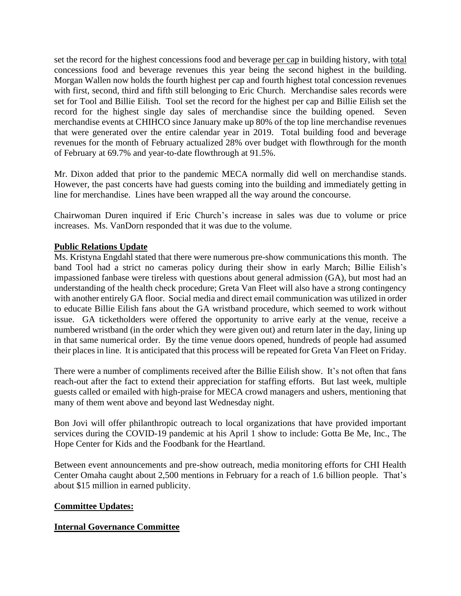set the record for the highest concessions food and beverage per cap in building history, with total concessions food and beverage revenues this year being the second highest in the building. Morgan Wallen now holds the fourth highest per cap and fourth highest total concession revenues with first, second, third and fifth still belonging to Eric Church. Merchandise sales records were set for Tool and Billie Eilish. Tool set the record for the highest per cap and Billie Eilish set the record for the highest single day sales of merchandise since the building opened. Seven merchandise events at CHIHCO since January make up 80% of the top line merchandise revenues that were generated over the entire calendar year in 2019. Total building food and beverage revenues for the month of February actualized 28% over budget with flowthrough for the month of February at 69.7% and year-to-date flowthrough at 91.5%.

Mr. Dixon added that prior to the pandemic MECA normally did well on merchandise stands. However, the past concerts have had guests coming into the building and immediately getting in line for merchandise. Lines have been wrapped all the way around the concourse.

Chairwoman Duren inquired if Eric Church's increase in sales was due to volume or price increases. Ms. VanDorn responded that it was due to the volume.

## **Public Relations Update**

Ms. Kristyna Engdahl stated that there were numerous pre-show communications this month. The band Tool had a strict no cameras policy during their show in early March; Billie Eilish's impassioned fanbase were tireless with questions about general admission (GA), but most had an understanding of the health check procedure; Greta Van Fleet will also have a strong contingency with another entirely GA floor. Social media and direct email communication was utilized in order to educate Billie Eilish fans about the GA wristband procedure, which seemed to work without issue. GA ticketholders were offered the opportunity to arrive early at the venue, receive a numbered wristband (in the order which they were given out) and return later in the day, lining up in that same numerical order. By the time venue doors opened, hundreds of people had assumed their places in line. It is anticipated that this process will be repeated for Greta Van Fleet on Friday.

There were a number of compliments received after the Billie Eilish show. It's not often that fans reach-out after the fact to extend their appreciation for staffing efforts. But last week, multiple guests called or emailed with high-praise for MECA crowd managers and ushers, mentioning that many of them went above and beyond last Wednesday night.

Bon Jovi will offer philanthropic outreach to local organizations that have provided important services during the COVID-19 pandemic at his April 1 show to include: Gotta Be Me, Inc., The Hope Center for Kids and the Foodbank for the Heartland.

Between event announcements and pre-show outreach, media monitoring efforts for CHI Health Center Omaha caught about 2,500 mentions in February for a reach of 1.6 billion people. That's about \$15 million in earned publicity.

### **Committee Updates:**

### **Internal Governance Committee**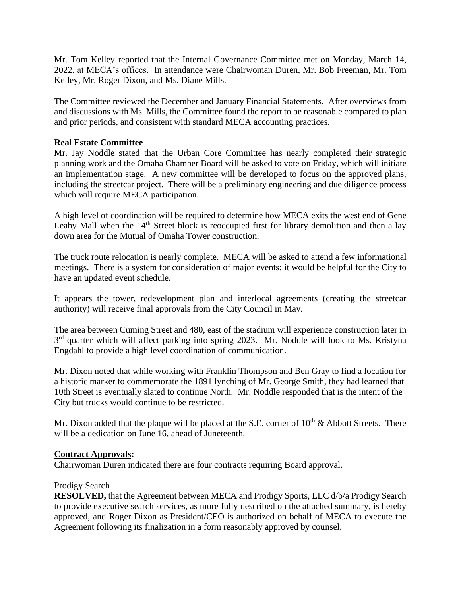Mr. Tom Kelley reported that the Internal Governance Committee met on Monday, March 14, 2022, at MECA's offices. In attendance were Chairwoman Duren, Mr. Bob Freeman, Mr. Tom Kelley, Mr. Roger Dixon, and Ms. Diane Mills.

The Committee reviewed the December and January Financial Statements. After overviews from and discussions with Ms. Mills, the Committee found the report to be reasonable compared to plan and prior periods, and consistent with standard MECA accounting practices.

### **Real Estate Committee**

Mr. Jay Noddle stated that the Urban Core Committee has nearly completed their strategic planning work and the Omaha Chamber Board will be asked to vote on Friday, which will initiate an implementation stage. A new committee will be developed to focus on the approved plans, including the streetcar project. There will be a preliminary engineering and due diligence process which will require MECA participation.

A high level of coordination will be required to determine how MECA exits the west end of Gene Leahy Mall when the  $14<sup>th</sup>$  Street block is reoccupied first for library demolition and then a lay down area for the Mutual of Omaha Tower construction.

The truck route relocation is nearly complete. MECA will be asked to attend a few informational meetings. There is a system for consideration of major events; it would be helpful for the City to have an updated event schedule.

It appears the tower, redevelopment plan and interlocal agreements (creating the streetcar authority) will receive final approvals from the City Council in May.

The area between Cuming Street and 480, east of the stadium will experience construction later in 3<sup>rd</sup> quarter which will affect parking into spring 2023. Mr. Noddle will look to Ms. Kristyna Engdahl to provide a high level coordination of communication.

Mr. Dixon noted that while working with Franklin Thompson and Ben Gray to find a location for a historic marker to commemorate the 1891 lynching of Mr. George Smith, they had learned that 10th Street is eventually slated to continue North. Mr. Noddle responded that is the intent of the City but trucks would continue to be restricted.

Mr. Dixon added that the plaque will be placed at the S.E. corner of  $10^{th}$  & Abbott Streets. There will be a dedication on June 16, ahead of Juneteenth.

### **Contract Approvals:**

Chairwoman Duren indicated there are four contracts requiring Board approval.

### Prodigy Search

**RESOLVED,** that the Agreement between MECA and Prodigy Sports, LLC d/b/a Prodigy Search to provide executive search services, as more fully described on the attached summary, is hereby approved, and Roger Dixon as President/CEO is authorized on behalf of MECA to execute the Agreement following its finalization in a form reasonably approved by counsel.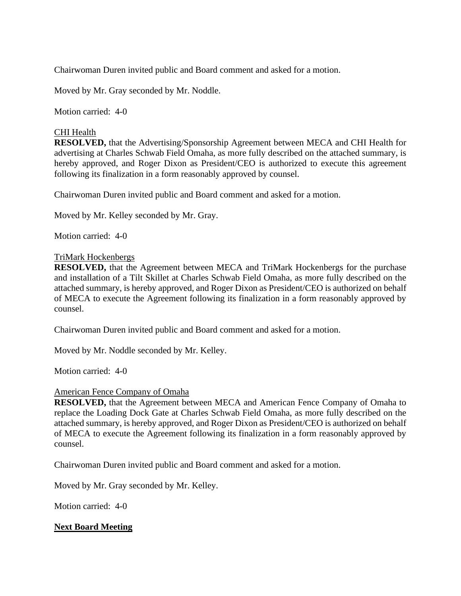Chairwoman Duren invited public and Board comment and asked for a motion.

Moved by Mr. Gray seconded by Mr. Noddle.

Motion carried: 4-0

### CHI Health

**RESOLVED,** that the Advertising/Sponsorship Agreement between MECA and CHI Health for advertising at Charles Schwab Field Omaha, as more fully described on the attached summary, is hereby approved, and Roger Dixon as President/CEO is authorized to execute this agreement following its finalization in a form reasonably approved by counsel.

Chairwoman Duren invited public and Board comment and asked for a motion.

Moved by Mr. Kelley seconded by Mr. Gray.

Motion carried: 4-0

### TriMark Hockenbergs

**RESOLVED,** that the Agreement between MECA and TriMark Hockenbergs for the purchase and installation of a Tilt Skillet at Charles Schwab Field Omaha, as more fully described on the attached summary, is hereby approved, and Roger Dixon as President/CEO is authorized on behalf of MECA to execute the Agreement following its finalization in a form reasonably approved by counsel.

Chairwoman Duren invited public and Board comment and asked for a motion.

Moved by Mr. Noddle seconded by Mr. Kelley.

Motion carried: 4-0

### American Fence Company of Omaha

**RESOLVED,** that the Agreement between MECA and American Fence Company of Omaha to replace the Loading Dock Gate at Charles Schwab Field Omaha, as more fully described on the attached summary, is hereby approved, and Roger Dixon as President/CEO is authorized on behalf of MECA to execute the Agreement following its finalization in a form reasonably approved by counsel.

Chairwoman Duren invited public and Board comment and asked for a motion.

Moved by Mr. Gray seconded by Mr. Kelley.

Motion carried: 4-0

## **Next Board Meeting**